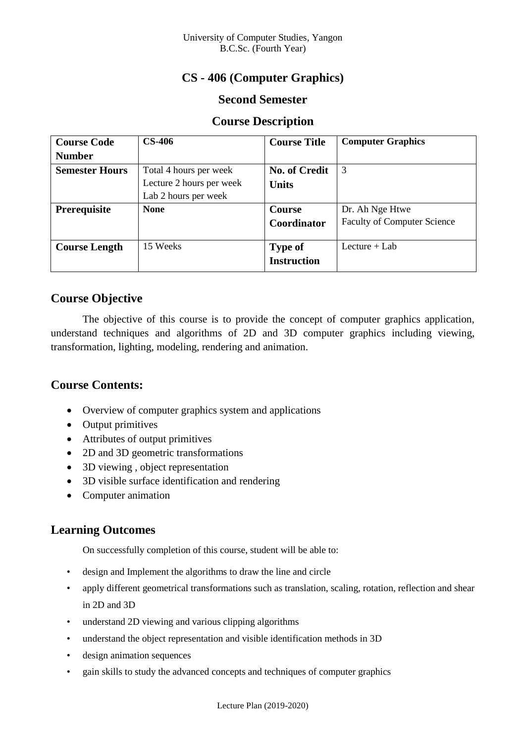## **CS - 406 (Computer Graphics)**

#### **Second Semester**

#### **Course Description**

| <b>Course Code</b>    | <b>CS-406</b>            | <b>Course Title</b>  | <b>Computer Graphics</b>           |
|-----------------------|--------------------------|----------------------|------------------------------------|
| <b>Number</b>         |                          |                      |                                    |
| <b>Semester Hours</b> | Total 4 hours per week   | <b>No. of Credit</b> | 3                                  |
|                       | Lecture 2 hours per week | <b>Units</b>         |                                    |
|                       | Lab 2 hours per week     |                      |                                    |
| Prerequisite          | <b>None</b>              | <b>Course</b>        | Dr. Ah Nge Htwe                    |
|                       |                          | Coordinator          | <b>Faculty of Computer Science</b> |
|                       |                          |                      |                                    |
| <b>Course Length</b>  | 15 Weeks                 | <b>Type of</b>       | Lecture $+$ Lab                    |
|                       |                          | <b>Instruction</b>   |                                    |

## **Course Objective**

The objective of this course is to provide the concept of computer graphics application, understand techniques and algorithms of 2D and 3D computer graphics including viewing, transformation, lighting, modeling, rendering and animation.

## **Course Contents:**

- Overview of computer graphics system and applications
- Output primitives
- Attributes of output primitives
- 2D and 3D geometric transformations
- 3D viewing, object representation
- 3D visible surface identification and rendering
- Computer animation

## **Learning Outcomes**

On successfully completion of this course, student will be able to:

- design and Implement the algorithms to draw the line and circle
- apply different geometrical transformations such as translation, scaling, rotation, reflection and shear in 2D and 3D
- understand 2D viewing and various clipping algorithms
- understand the object representation and visible identification methods in 3D
- design animation sequences
- gain skills to study the advanced concepts and techniques of computer graphics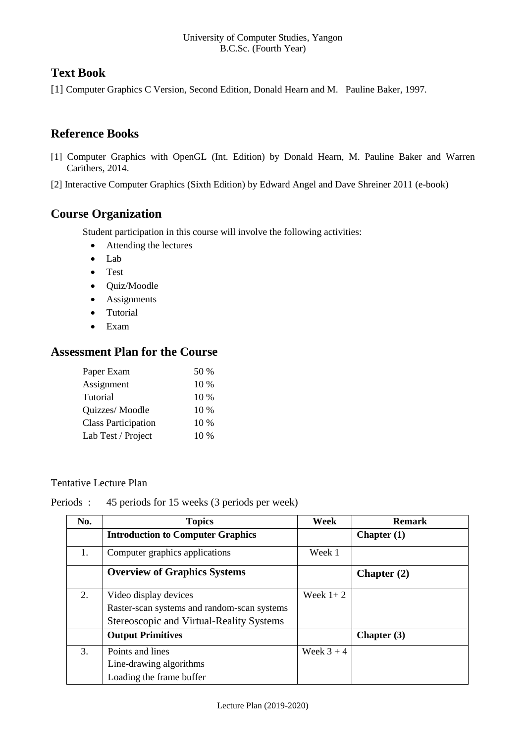# **Text Book**

[1] Computer Graphics C Version, Second Edition, Donald Hearn and M. Pauline Baker, 1997.

## **Reference Books**

[1] Computer Graphics with OpenGL (Int. Edition) by Donald Hearn, M. Pauline Baker and Warren Carithers, 2014.

[2] Interactive Computer Graphics (Sixth Edition) by Edward Angel and Dave Shreiner 2011 (e-book)

## **Course Organization**

Student participation in this course will involve the following activities:

- Attending the lectures
- Lab
- Test
- Quiz/Moodle
- Assignments
- Tutorial
- Exam

## **Assessment Plan for the Course**

| Paper Exam                 | 50 %   |
|----------------------------|--------|
| Assignment                 | $10\%$ |
| Tutorial                   | 10 %   |
| Quizzes/ Moodle            | 10 %   |
| <b>Class Participation</b> | 10 %   |
| Lab Test / Project         | $10\%$ |

#### Tentative Lecture Plan

Periods : 45 periods for 15 weeks (3 periods per week)

| No. | <b>Topics</b>                               | Week         | <b>Remark</b> |
|-----|---------------------------------------------|--------------|---------------|
|     | <b>Introduction to Computer Graphics</b>    |              | Chapter $(1)$ |
| 1.  | Computer graphics applications              | Week 1       |               |
|     | <b>Overview of Graphics Systems</b>         |              | Chapter $(2)$ |
| 2.  | Video display devices                       | Week $1+2$   |               |
|     | Raster-scan systems and random-scan systems |              |               |
|     | Stereoscopic and Virtual-Reality Systems    |              |               |
|     | <b>Output Primitives</b>                    |              | Chapter $(3)$ |
| 3.  | Points and lines                            | Week $3 + 4$ |               |
|     | Line-drawing algorithms                     |              |               |
|     | Loading the frame buffer                    |              |               |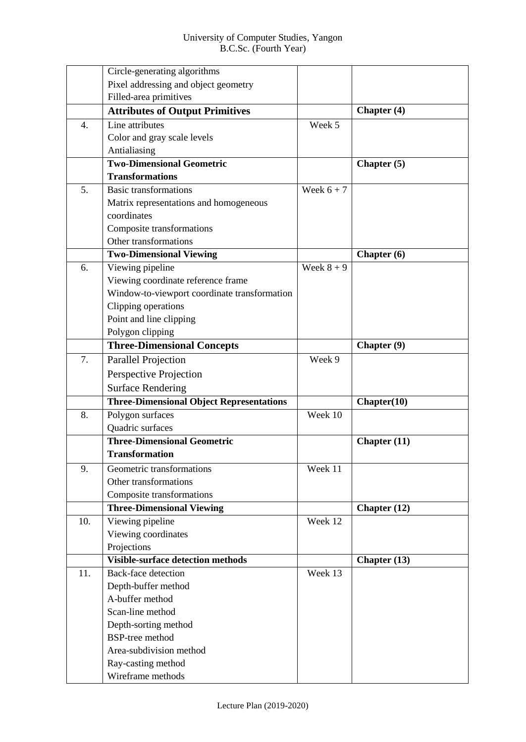|                  | Circle-generating algorithms                    |              |                |
|------------------|-------------------------------------------------|--------------|----------------|
|                  | Pixel addressing and object geometry            |              |                |
|                  | Filled-area primitives                          |              |                |
|                  | <b>Attributes of Output Primitives</b>          |              | Chapter (4)    |
| $\overline{4}$ . | Line attributes                                 | Week 5       |                |
|                  | Color and gray scale levels                     |              |                |
|                  | Antialiasing                                    |              |                |
|                  | <b>Two-Dimensional Geometric</b>                |              | Chapter (5)    |
|                  | <b>Transformations</b>                          |              |                |
| 5.               | <b>Basic transformations</b>                    | Week $6 + 7$ |                |
|                  | Matrix representations and homogeneous          |              |                |
|                  | coordinates                                     |              |                |
|                  | Composite transformations                       |              |                |
|                  | Other transformations                           |              |                |
|                  | <b>Two-Dimensional Viewing</b>                  |              | Chapter (6)    |
| 6.               | Viewing pipeline                                | Week $8 + 9$ |                |
|                  | Viewing coordinate reference frame              |              |                |
|                  | Window-to-viewport coordinate transformation    |              |                |
|                  | Clipping operations                             |              |                |
|                  | Point and line clipping                         |              |                |
|                  | Polygon clipping                                |              |                |
|                  | <b>Three-Dimensional Concepts</b>               |              | Chapter (9)    |
| 7.               | Parallel Projection                             | Week 9       |                |
|                  | Perspective Projection                          |              |                |
|                  | <b>Surface Rendering</b>                        |              |                |
|                  | <b>Three-Dimensional Object Representations</b> |              | Chapter(10)    |
| 8.               | Polygon surfaces                                | Week 10      |                |
|                  | Quadric surfaces                                |              |                |
|                  | <b>Three-Dimensional Geometric</b>              |              | Chapter $(11)$ |
|                  | <b>Transformation</b>                           |              |                |
| 9.               | Geometric transformations                       | Week 11      |                |
|                  | Other transformations                           |              |                |
|                  | Composite transformations                       |              |                |
|                  | <b>Three-Dimensional Viewing</b>                |              | Chapter $(12)$ |
| 10.              | Viewing pipeline                                | Week 12      |                |
|                  | Viewing coordinates                             |              |                |
|                  | Projections                                     |              |                |
|                  | <b>Visible-surface detection methods</b>        |              | Chapter (13)   |
| 11.              | <b>Back-face detection</b>                      | Week 13      |                |
|                  | Depth-buffer method                             |              |                |
|                  | A-buffer method                                 |              |                |
|                  | Scan-line method                                |              |                |
|                  | Depth-sorting method                            |              |                |
|                  | <b>BSP-tree method</b>                          |              |                |
|                  | Area-subdivision method                         |              |                |
|                  | Ray-casting method                              |              |                |
|                  | Wireframe methods                               |              |                |